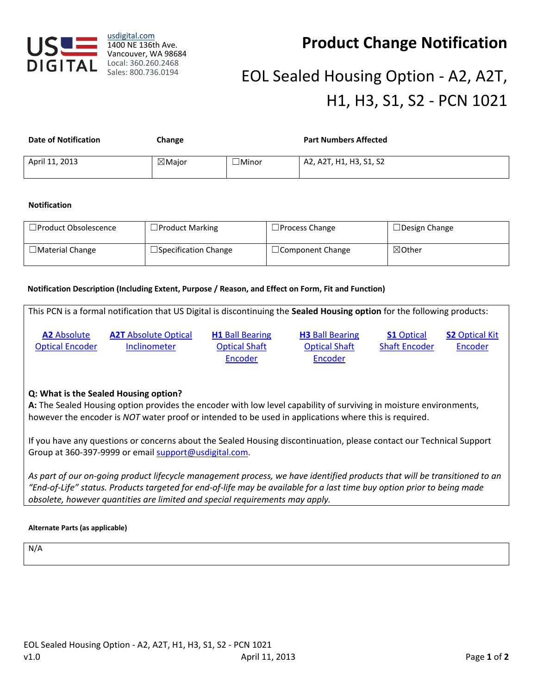

usdigital.com 1400 NE 136th Ave. Vancouver, WA 98684 Local: 360.260.2468 Sales: 800.736.0194

# **Product Change Notification**

# EOL Sealed Housing Option - A2, A2T, H1, H3, S1, S2 - PCN 1021

| <b>Date of Notification</b> | Change            |              | <b>Part Numbers Affected</b> |
|-----------------------------|-------------------|--------------|------------------------------|
| April 11, 2013              | $\boxtimes$ Maior | $\Box$ Minor | A2, A2T, H1, H3, S1, S2      |

### **Notification**

| $\Box$ Product Obsolescence | $\Box$ Product Marking      | $\Box$ Process Change   | $\Box$ Design Change |
|-----------------------------|-----------------------------|-------------------------|----------------------|
| $\Box$ Material Change      | $\Box$ Specification Change | $\Box$ Component Change | $\boxtimes$ Other    |

## **Notification Description (Including Extent, Purpose / Reason, and Effect on Form, Fit and Function)**

This PCN is a formal notification that US Digital is discontinuing the **Sealed Housing option** for the following products:

**A2** [Absolute](http://www.usdigital.com/products/encoders/absolute/rotary/shaft/A2)  [Optical Encoder](http://www.usdigital.com/products/encoders/absolute/rotary/shaft/A2) **A2T** [Absolute Optical](http://www.usdigital.com/products/inclinometers/absolute/A2T)  [Inclinometer](http://www.usdigital.com/products/inclinometers/absolute/A2T)

**H1** [Ball Bearing](http://www.usdigital.com/products/encoders/incremental/rotary/shaft/H1)  [Optical Shaft](http://www.usdigital.com/products/encoders/incremental/rotary/shaft/H1)  [Encoder](http://www.usdigital.com/products/encoders/incremental/rotary/shaft/H1)

**H3** [Ball Bearing](http://www.usdigital.com/products/encoders/incremental/rotary/shaft/H3)  [Optical Shaft](http://www.usdigital.com/products/encoders/incremental/rotary/shaft/H3)  [Encoder](http://www.usdigital.com/products/encoders/incremental/rotary/shaft/H3)

**S1** [Optical](http://www.usdigital.com/products/encoders/incremental/rotary/shaft/S1)  [Shaft Encoder](http://www.usdigital.com/products/encoders/incremental/rotary/shaft/S1) **S2** [Optical Kit](http://www.usdigital.com/products/encoders/incremental/rotary/shaft/S2)  [Encoder](http://www.usdigital.com/products/encoders/incremental/rotary/shaft/S2)

## **Q: What is the Sealed Housing option?**

**A:** The Sealed Housing option provides the encoder with low level capability of surviving in moisture environments, however the encoder is *NOT* water proof or intended to be used in applications where this is required.

If you have any questions or concerns about the Sealed Housing discontinuation, please contact our Technical Support Group at 360-397-9999 or emai[l support@usdigital.com.](mailto:support@usdigital.com)

*As part of our on-going product lifecycle management process, we have identified products that will be transitioned to an "End-of-Life" status. Products targeted for end-of-life may be available for a last time buy option prior to being made obsolete, however quantities are limited and special requirements may apply.*

#### **Alternate Parts (as applicable)**

N/A